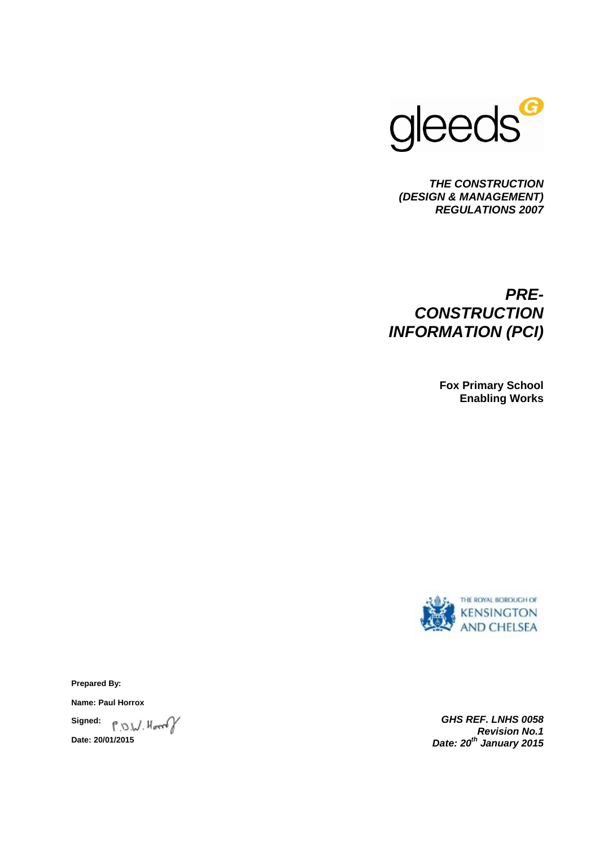

*THE CONSTRUCTION (DESIGN & MANAGEMENT) REGULATIONS 2007*

# *PRE-CONSTRUCTION INFORMATION (PCI)*

**Fox Primary School Enabling Works**



**Prepared By:**

**Name: Paul Horrox**

P.O.W. Horrof **Signed: Date: 20/01/2015**

*GHS REF. LNHS 0058 Revision No.1 Date: 20th January 2015*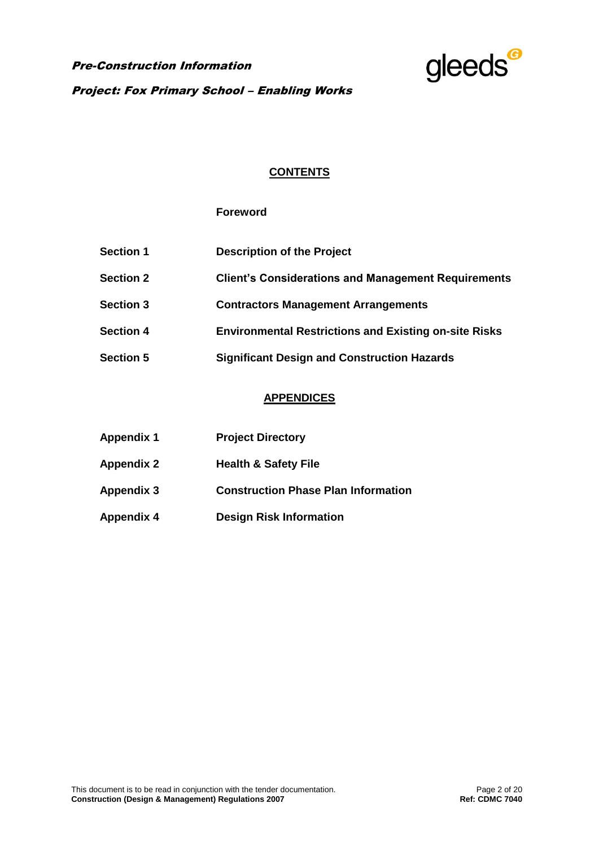Pre-Construction Information Project: Fox Primary School – Enabling Works



## **CONTENTS**

## **Foreword**

| <b>Section 1</b> | <b>Description of the Project</b>                            |
|------------------|--------------------------------------------------------------|
| <b>Section 2</b> | <b>Client's Considerations and Management Requirements</b>   |
| <b>Section 3</b> | <b>Contractors Management Arrangements</b>                   |
| <b>Section 4</b> | <b>Environmental Restrictions and Existing on-site Risks</b> |
| <b>Section 5</b> | <b>Significant Design and Construction Hazards</b>           |

## **APPENDICES**

| <b>Appendix 1</b> | <b>Project Directory</b>                   |
|-------------------|--------------------------------------------|
| <b>Appendix 2</b> | <b>Health &amp; Safety File</b>            |
| <b>Appendix 3</b> | <b>Construction Phase Plan Information</b> |
| <b>Appendix 4</b> | <b>Design Risk Information</b>             |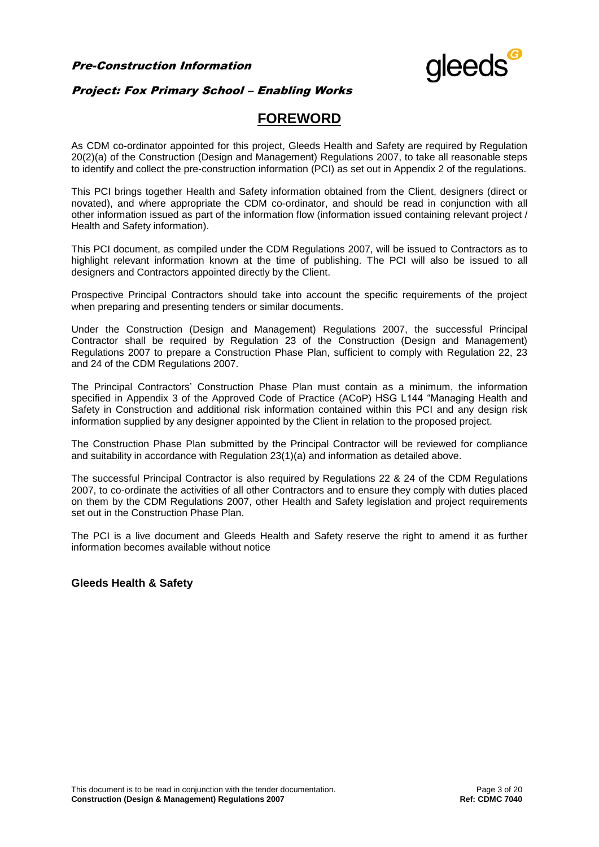

## Project: Fox Primary School – Enabling Works

# **FOREWORD**

As CDM co-ordinator appointed for this project, Gleeds Health and Safety are required by Regulation 20(2)(a) of the Construction (Design and Management) Regulations 2007, to take all reasonable steps to identify and collect the pre-construction information (PCI) as set out in Appendix 2 of the regulations.

This PCI brings together Health and Safety information obtained from the Client, designers (direct or novated), and where appropriate the CDM co-ordinator, and should be read in conjunction with all other information issued as part of the information flow (information issued containing relevant project / Health and Safety information).

This PCI document, as compiled under the CDM Regulations 2007, will be issued to Contractors as to highlight relevant information known at the time of publishing. The PCI will also be issued to all designers and Contractors appointed directly by the Client.

Prospective Principal Contractors should take into account the specific requirements of the project when preparing and presenting tenders or similar documents.

Under the Construction (Design and Management) Regulations 2007, the successful Principal Contractor shall be required by Regulation 23 of the Construction (Design and Management) Regulations 2007 to prepare a Construction Phase Plan, sufficient to comply with Regulation 22, 23 and 24 of the CDM Regulations 2007.

The Principal Contractors' Construction Phase Plan must contain as a minimum, the information specified in Appendix 3 of the Approved Code of Practice (ACoP) HSG L144 "Managing Health and Safety in Construction and additional risk information contained within this PCI and any design risk information supplied by any designer appointed by the Client in relation to the proposed project.

The Construction Phase Plan submitted by the Principal Contractor will be reviewed for compliance and suitability in accordance with Regulation 23(1)(a) and information as detailed above.

The successful Principal Contractor is also required by Regulations 22 & 24 of the CDM Regulations 2007, to co-ordinate the activities of all other Contractors and to ensure they comply with duties placed on them by the CDM Regulations 2007, other Health and Safety legislation and project requirements set out in the Construction Phase Plan.

The PCI is a live document and Gleeds Health and Safety reserve the right to amend it as further information becomes available without notice

### **Gleeds Health & Safety**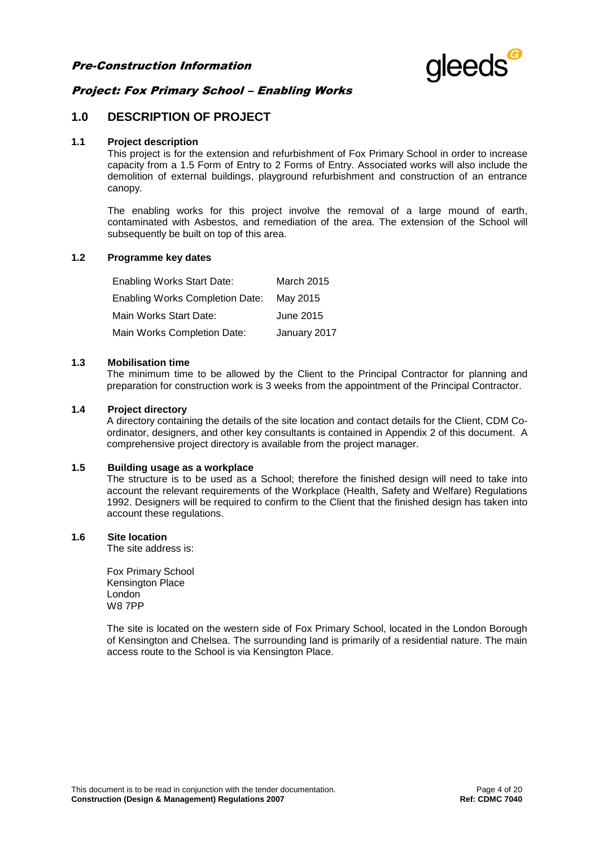

## **1.0 DESCRIPTION OF PROJECT**

#### **1.1 Project description**

This project is for the extension and refurbishment of Fox Primary School in order to increase capacity from a 1.5 Form of Entry to 2 Forms of Entry. Associated works will also include the demolition of external buildings, playground refurbishment and construction of an entrance canopy.

The enabling works for this project involve the removal of a large mound of earth, contaminated with Asbestos, and remediation of the area. The extension of the School will subsequently be built on top of this area.

#### **1.2 Programme key dates**

| <b>Enabling Works Start Date:</b>      | <b>March 2015</b> |
|----------------------------------------|-------------------|
| <b>Enabling Works Completion Date:</b> | May 2015          |
| Main Works Start Date:                 | June 2015         |
| Main Works Completion Date:            | January 2017      |

#### **1.3 Mobilisation time**

The minimum time to be allowed by the Client to the Principal Contractor for planning and preparation for construction work is 3 weeks from the appointment of the Principal Contractor.

#### **1.4 Project directory**

A directory containing the details of the site location and contact details for the Client, CDM Coordinator, designers, and other key consultants is contained in Appendix 2 of this document. A comprehensive project directory is available from the project manager.

### **1.5 Building usage as a workplace**

The structure is to be used as a School; therefore the finished design will need to take into account the relevant requirements of the Workplace (Health, Safety and Welfare) Regulations 1992. Designers will be required to confirm to the Client that the finished design has taken into account these regulations.

#### **1.6 Site location**

The site address is:

Fox Primary School Kensington Place **London** W8 7PP

The site is located on the western side of Fox Primary School, located in the London Borough of Kensington and Chelsea. The surrounding land is primarily of a residential nature. The main access route to the School is via Kensington Place.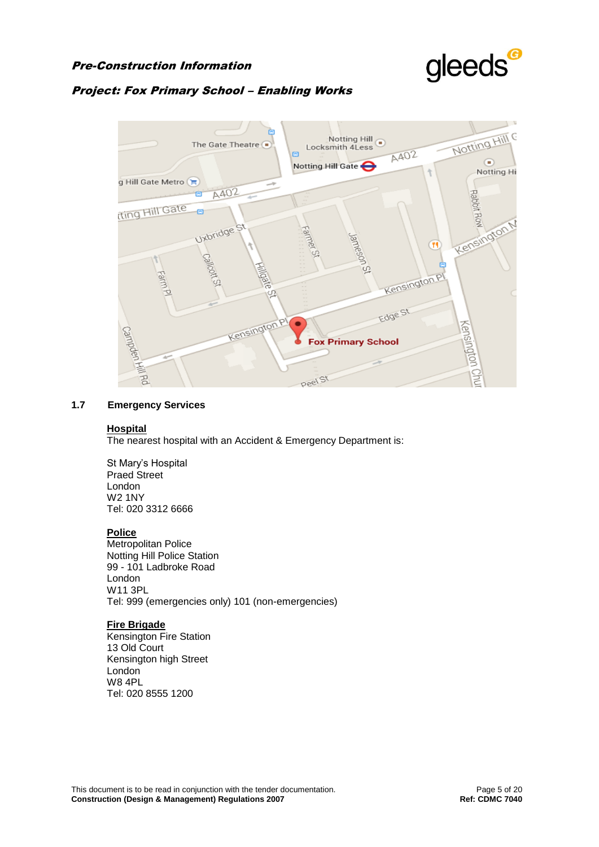

## Project: Fox Primary School – Enabling Works



#### **1.7 Emergency Services**

#### **Hospital**

The nearest hospital with an Accident & Emergency Department is:

St Mary's Hospital Praed Street London W2 1NY Tel: 020 3312 6666

#### **Police**

Metropolitan Police Notting Hill Police Station 99 - 101 Ladbroke Road London W11 3PL Tel: 999 (emergencies only) 101 (non-emergencies)

## **Fire Brigade**

Kensington Fire Station 13 Old Court Kensington high Street London W8 4PL Tel: 020 8555 1200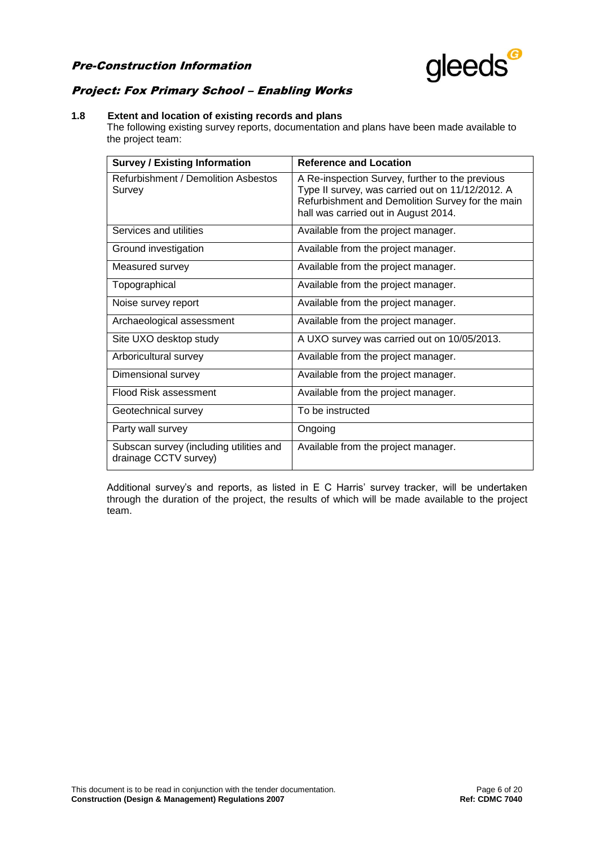

## Project: Fox Primary School – Enabling Works

### **1.8 Extent and location of existing records and plans**

The following existing survey reports, documentation and plans have been made available to the project team:

| <b>Survey / Existing Information</b>                             | <b>Reference and Location</b>                                                                                                                                                                   |  |  |
|------------------------------------------------------------------|-------------------------------------------------------------------------------------------------------------------------------------------------------------------------------------------------|--|--|
| Refurbishment / Demolition Asbestos<br>Survey                    | A Re-inspection Survey, further to the previous<br>Type II survey, was carried out on 11/12/2012. A<br>Refurbishment and Demolition Survey for the main<br>hall was carried out in August 2014. |  |  |
| Services and utilities                                           | Available from the project manager.                                                                                                                                                             |  |  |
| Ground investigation                                             | Available from the project manager.                                                                                                                                                             |  |  |
| Measured survey                                                  | Available from the project manager.                                                                                                                                                             |  |  |
| Topographical                                                    | Available from the project manager.                                                                                                                                                             |  |  |
| Noise survey report                                              | Available from the project manager.                                                                                                                                                             |  |  |
| Archaeological assessment                                        | Available from the project manager.                                                                                                                                                             |  |  |
| Site UXO desktop study                                           | A UXO survey was carried out on 10/05/2013.                                                                                                                                                     |  |  |
| Arboricultural survey                                            | Available from the project manager.                                                                                                                                                             |  |  |
| Dimensional survey                                               | Available from the project manager.                                                                                                                                                             |  |  |
| Flood Risk assessment                                            | Available from the project manager.                                                                                                                                                             |  |  |
| Geotechnical survey                                              | To be instructed                                                                                                                                                                                |  |  |
| Party wall survey                                                | Ongoing                                                                                                                                                                                         |  |  |
| Subscan survey (including utilities and<br>drainage CCTV survey) | Available from the project manager.                                                                                                                                                             |  |  |

Additional survey's and reports, as listed in E C Harris' survey tracker, will be undertaken through the duration of the project, the results of which will be made available to the project team.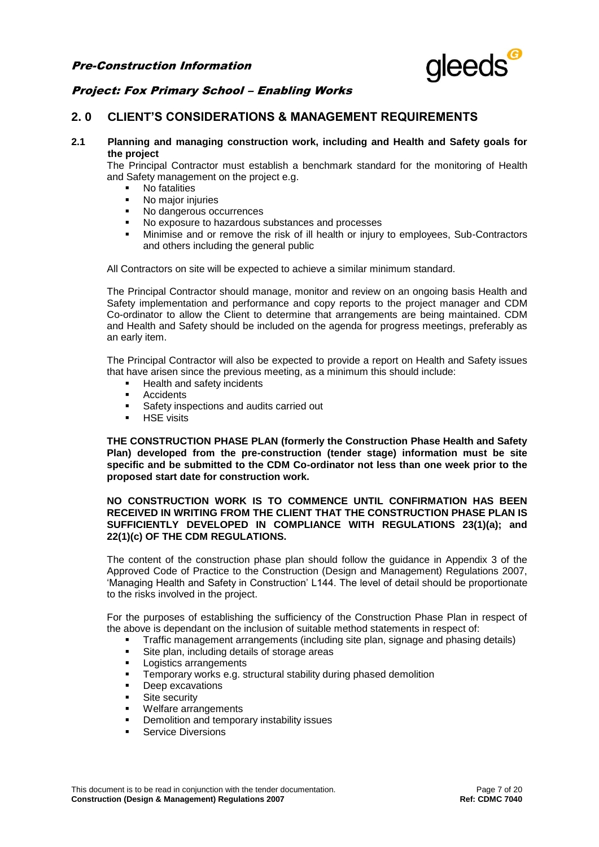

## **2. 0 CLIENT'S CONSIDERATIONS & MANAGEMENT REQUIREMENTS**

**2.1 Planning and managing construction work, including and Health and Safety goals for the project**

The Principal Contractor must establish a benchmark standard for the monitoring of Health and Safety management on the project e.g.

- No fatalities
- No major injuries<br>• No dangerous oc
- No dangerous occurrences
- No exposure to hazardous substances and processes
- Minimise and or remove the risk of ill health or injury to employees, Sub-Contractors and others including the general public

All Contractors on site will be expected to achieve a similar minimum standard.

The Principal Contractor should manage, monitor and review on an ongoing basis Health and Safety implementation and performance and copy reports to the project manager and CDM Co-ordinator to allow the Client to determine that arrangements are being maintained. CDM and Health and Safety should be included on the agenda for progress meetings, preferably as an early item.

The Principal Contractor will also be expected to provide a report on Health and Safety issues that have arisen since the previous meeting, as a minimum this should include:

- Health and safety incidents
- **Accidents**
- **Safety inspections and audits carried out**
- HSE visits

**THE CONSTRUCTION PHASE PLAN (formerly the Construction Phase Health and Safety Plan) developed from the pre-construction (tender stage) information must be site specific and be submitted to the CDM Co-ordinator not less than one week prior to the proposed start date for construction work.**

#### **NO CONSTRUCTION WORK IS TO COMMENCE UNTIL CONFIRMATION HAS BEEN RECEIVED IN WRITING FROM THE CLIENT THAT THE CONSTRUCTION PHASE PLAN IS SUFFICIENTLY DEVELOPED IN COMPLIANCE WITH REGULATIONS 23(1)(a); and 22(1)(c) OF THE CDM REGULATIONS.**

The content of the construction phase plan should follow the guidance in Appendix 3 of the Approved Code of Practice to the Construction (Design and Management) Regulations 2007, 'Managing Health and Safety in Construction' L144. The level of detail should be proportionate to the risks involved in the project.

For the purposes of establishing the sufficiency of the Construction Phase Plan in respect of the above is dependant on the inclusion of suitable method statements in respect of:

- Traffic management arrangements (including site plan, signage and phasing details)
- Site plan, including details of storage areas
- **Logistics arrangements**
- Temporary works e.g. structural stability during phased demolition
- Deep excavations
- Site security
- Welfare arrangements
- Demolition and temporary instability issues
- Service Diversions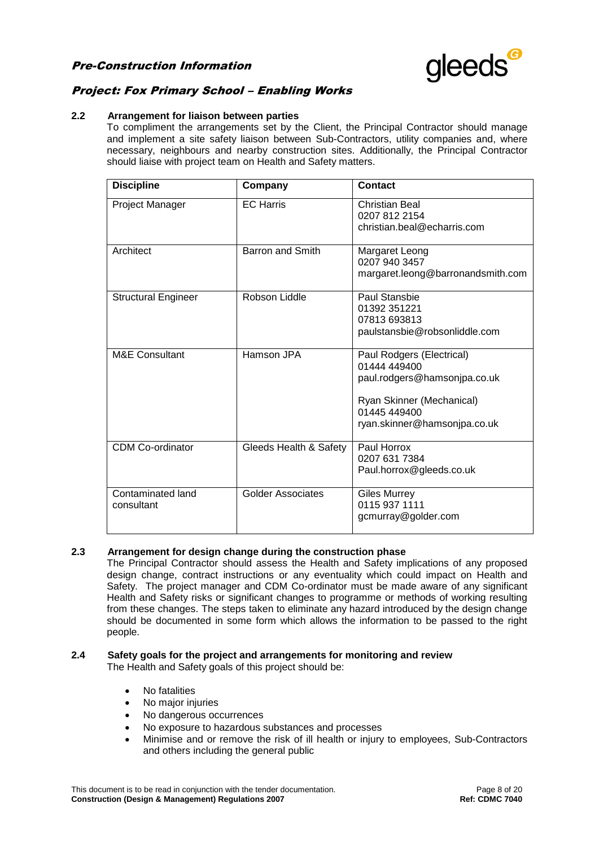

## Project: Fox Primary School – Enabling Works

#### **2.2 Arrangement for liaison between parties**

To compliment the arrangements set by the Client, the Principal Contractor should manage and implement a site safety liaison between Sub-Contractors, utility companies and, where necessary, neighbours and nearby construction sites. Additionally, the Principal Contractor should liaise with project team on Health and Safety matters.

| <b>Discipline</b>               | Company                 | Contact                                                                                                                                                |
|---------------------------------|-------------------------|--------------------------------------------------------------------------------------------------------------------------------------------------------|
| <b>Project Manager</b>          | <b>EC</b> Harris        | Christian Beal<br>0207 812 2154<br>christian beal@echarris.com                                                                                         |
| Architect                       | <b>Barron and Smith</b> | Margaret Leong<br>0207 940 3457<br>margaret.leong@barronandsmith.com                                                                                   |
| <b>Structural Engineer</b>      | Robson Liddle           | Paul Stansbie<br>01392 351221<br>07813 693813<br>paulstansbie@robsonliddle.com                                                                         |
| <b>M&amp;E Consultant</b>       | Hamson JPA              | Paul Rodgers (Electrical)<br>01444 449400<br>paul.rodgers@hamsonjpa.co.uk<br>Ryan Skinner (Mechanical)<br>01445 449400<br>ryan.skinner@hamsonjpa.co.uk |
| <b>CDM Co-ordinator</b>         | Gleeds Health & Safety  | Paul Horrox<br>0207 631 7384<br>Paul.horrox@gleeds.co.uk                                                                                               |
| Contaminated land<br>consultant | Golder Associates       | <b>Giles Murrey</b><br>0115 937 1111<br>gcmurray@golder.com                                                                                            |

#### **2.3 Arrangement for design change during the construction phase**

The Principal Contractor should assess the Health and Safety implications of any proposed design change, contract instructions or any eventuality which could impact on Health and Safety. The project manager and CDM Co-ordinator must be made aware of any significant Health and Safety risks or significant changes to programme or methods of working resulting from these changes. The steps taken to eliminate any hazard introduced by the design change should be documented in some form which allows the information to be passed to the right people.

#### **2.4 Safety goals for the project and arrangements for monitoring and review** The Health and Safety goals of this project should be:

- No fatalities
- No major injuries
- No dangerous occurrences
- No exposure to hazardous substances and processes
- Minimise and or remove the risk of ill health or injury to employees, Sub-Contractors and others including the general public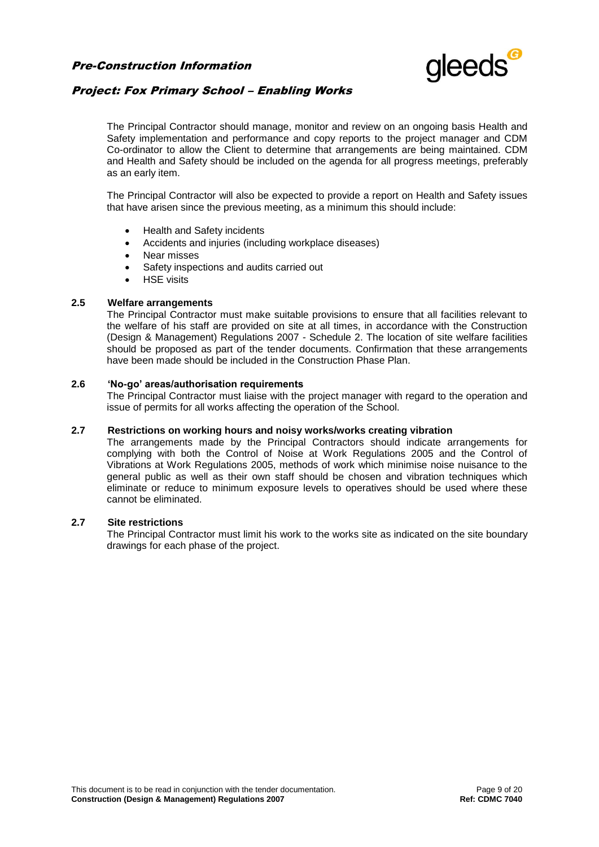

## Project: Fox Primary School – Enabling Works

The Principal Contractor should manage, monitor and review on an ongoing basis Health and Safety implementation and performance and copy reports to the project manager and CDM Co-ordinator to allow the Client to determine that arrangements are being maintained. CDM and Health and Safety should be included on the agenda for all progress meetings, preferably as an early item.

The Principal Contractor will also be expected to provide a report on Health and Safety issues that have arisen since the previous meeting, as a minimum this should include:

- Health and Safety incidents
- Accidents and injuries (including workplace diseases)
- Near misses
- Safety inspections and audits carried out
- HSE visits

### **2.5 Welfare arrangements**

The Principal Contractor must make suitable provisions to ensure that all facilities relevant to the welfare of his staff are provided on site at all times, in accordance with the Construction (Design & Management) Regulations 2007 - Schedule 2. The location of site welfare facilities should be proposed as part of the tender documents. Confirmation that these arrangements have been made should be included in the Construction Phase Plan.

#### **2.6 'No-go' areas/authorisation requirements**

The Principal Contractor must liaise with the project manager with regard to the operation and issue of permits for all works affecting the operation of the School.

#### **2.7 Restrictions on working hours and noisy works/works creating vibration**

The arrangements made by the Principal Contractors should indicate arrangements for complying with both the Control of Noise at Work Regulations 2005 and the Control of Vibrations at Work Regulations 2005, methods of work which minimise noise nuisance to the general public as well as their own staff should be chosen and vibration techniques which eliminate or reduce to minimum exposure levels to operatives should be used where these cannot be eliminated.

#### **2.7 Site restrictions**

The Principal Contractor must limit his work to the works site as indicated on the site boundary drawings for each phase of the project.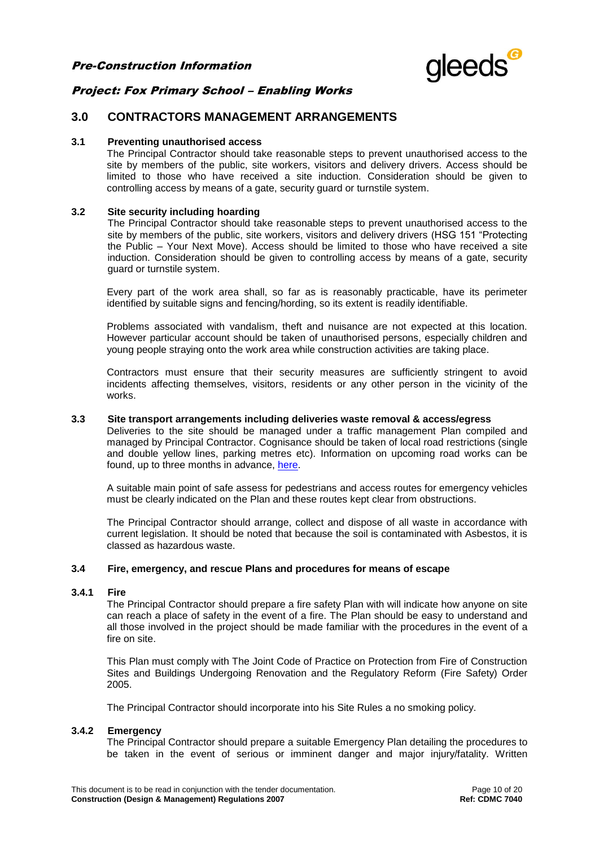

## Project: Fox Primary School – Enabling Works

## **3.0 CONTRACTORS MANAGEMENT ARRANGEMENTS**

#### **3.1 Preventing unauthorised access**

The Principal Contractor should take reasonable steps to prevent unauthorised access to the site by members of the public, site workers, visitors and delivery drivers. Access should be limited to those who have received a site induction. Consideration should be given to controlling access by means of a gate, security guard or turnstile system.

#### **3.2 Site security including hoarding**

The Principal Contractor should take reasonable steps to prevent unauthorised access to the site by members of the public, site workers, visitors and delivery drivers (HSG 151 "Protecting the Public – Your Next Move). Access should be limited to those who have received a site induction. Consideration should be given to controlling access by means of a gate, security guard or turnstile system.

Every part of the work area shall, so far as is reasonably practicable, have its perimeter identified by suitable signs and fencing/hording, so its extent is readily identifiable.

Problems associated with vandalism, theft and nuisance are not expected at this location. However particular account should be taken of unauthorised persons, especially children and young people straying onto the work area while construction activities are taking place.

Contractors must ensure that their security measures are sufficiently stringent to avoid incidents affecting themselves, visitors, residents or any other person in the vicinity of the works.

#### **3.3 Site transport arrangements including deliveries waste removal & access/egress**

Deliveries to the site should be managed under a traffic management Plan compiled and managed by Principal Contractor. Cognisance should be taken of local road restrictions (single and double yellow lines, parking metres etc). Information on upcoming road works can be found, up to three months in advance, [here.](http://public.londonworks.gov.uk/roadworks/home;jsessionid=0aeae16430d639d9149c35b747278c45dec465b59781.e34NaxyLchaMci0LaxuPb3yOch0Ke0)

A suitable main point of safe assess for pedestrians and access routes for emergency vehicles must be clearly indicated on the Plan and these routes kept clear from obstructions.

The Principal Contractor should arrange, collect and dispose of all waste in accordance with current legislation. It should be noted that because the soil is contaminated with Asbestos, it is classed as hazardous waste.

#### **3.4 Fire, emergency, and rescue Plans and procedures for means of escape**

#### **3.4.1 Fire**

The Principal Contractor should prepare a fire safety Plan with will indicate how anyone on site can reach a place of safety in the event of a fire. The Plan should be easy to understand and all those involved in the project should be made familiar with the procedures in the event of a fire on site.

This Plan must comply with The Joint Code of Practice on Protection from Fire of Construction Sites and Buildings Undergoing Renovation and the Regulatory Reform (Fire Safety) Order 2005.

The Principal Contractor should incorporate into his Site Rules a no smoking policy.

#### **3.4.2 Emergency**

The Principal Contractor should prepare a suitable Emergency Plan detailing the procedures to be taken in the event of serious or imminent danger and major injury/fatality. Written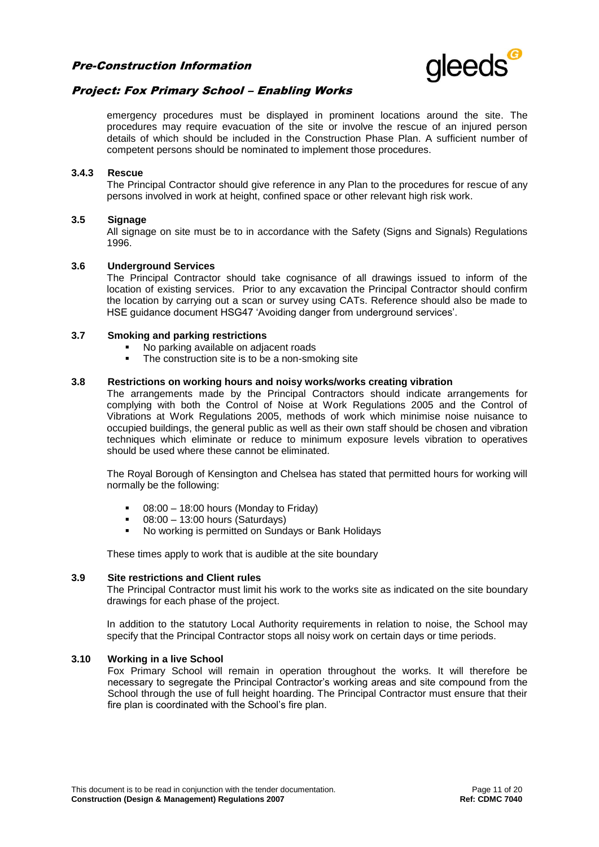

## Project: Fox Primary School – Enabling Works

emergency procedures must be displayed in prominent locations around the site. The procedures may require evacuation of the site or involve the rescue of an injured person details of which should be included in the Construction Phase Plan. A sufficient number of competent persons should be nominated to implement those procedures.

#### **3.4.3 Rescue**

The Principal Contractor should give reference in any Plan to the procedures for rescue of any persons involved in work at height, confined space or other relevant high risk work.

#### **3.5 Signage**

All signage on site must be to in accordance with the Safety (Signs and Signals) Regulations 1996.

#### **3.6 Underground Services**

The Principal Contractor should take cognisance of all drawings issued to inform of the location of existing services. Prior to any excavation the Principal Contractor should confirm the location by carrying out a scan or survey using CATs. Reference should also be made to HSE guidance document HSG47 'Avoiding danger from underground services'.

#### **3.7 Smoking and parking restrictions**

- No parking available on adjacent roads
- The construction site is to be a non-smoking site

#### **3.8 Restrictions on working hours and noisy works/works creating vibration**

The arrangements made by the Principal Contractors should indicate arrangements for complying with both the Control of Noise at Work Regulations 2005 and the Control of Vibrations at Work Regulations 2005, methods of work which minimise noise nuisance to occupied buildings, the general public as well as their own staff should be chosen and vibration techniques which eliminate or reduce to minimum exposure levels vibration to operatives should be used where these cannot be eliminated.

The Royal Borough of Kensington and Chelsea has stated that permitted hours for working will normally be the following:

- 08:00 18:00 hours (Monday to Friday)
- 08:00 13:00 hours (Saturdays)
- No working is permitted on Sundays or Bank Holidays

These times apply to work that is audible at the site boundary

#### **3.9 Site restrictions and Client rules**

The Principal Contractor must limit his work to the works site as indicated on the site boundary drawings for each phase of the project.

In addition to the statutory Local Authority requirements in relation to noise, the School may specify that the Principal Contractor stops all noisy work on certain days or time periods.

#### **3.10 Working in a live School**

Fox Primary School will remain in operation throughout the works. It will therefore be necessary to segregate the Principal Contractor's working areas and site compound from the School through the use of full height hoarding. The Principal Contractor must ensure that their fire plan is coordinated with the School's fire plan.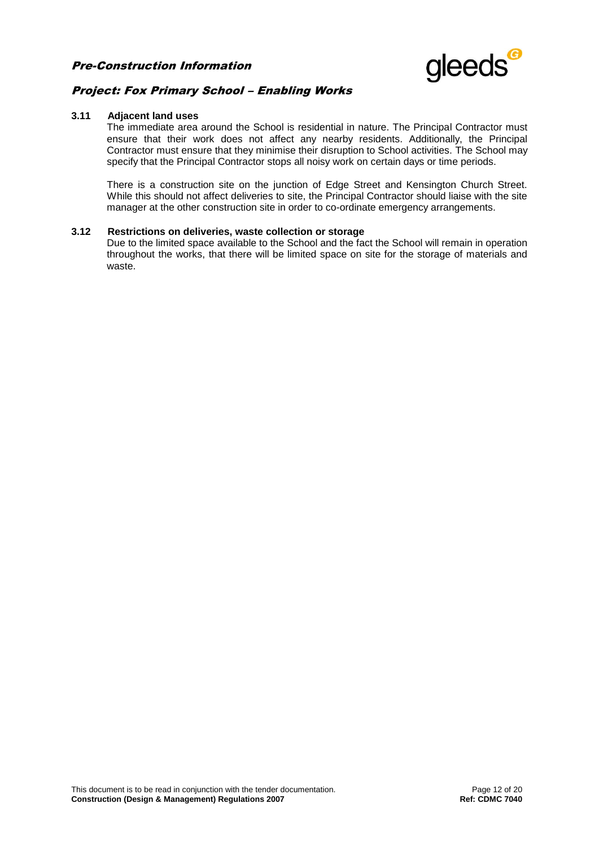

## Project: Fox Primary School – Enabling Works

#### **3.11 Adjacent land uses**

The immediate area around the School is residential in nature. The Principal Contractor must ensure that their work does not affect any nearby residents. Additionally, the Principal Contractor must ensure that they minimise their disruption to School activities. The School may specify that the Principal Contractor stops all noisy work on certain days or time periods.

There is a construction site on the junction of Edge Street and Kensington Church Street. While this should not affect deliveries to site, the Principal Contractor should liaise with the site manager at the other construction site in order to co-ordinate emergency arrangements.

#### **3.12 Restrictions on deliveries, waste collection or storage**

Due to the limited space available to the School and the fact the School will remain in operation throughout the works, that there will be limited space on site for the storage of materials and waste.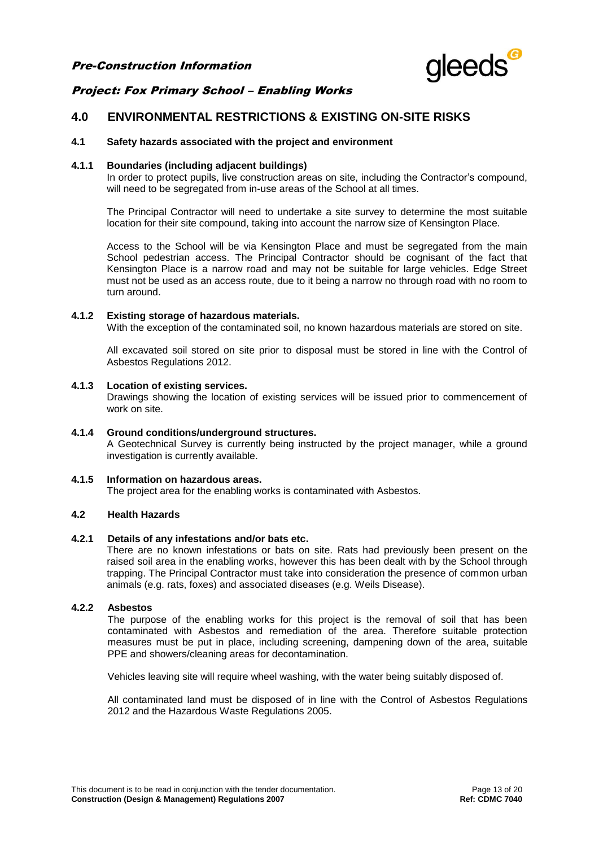

## Project: Fox Primary School – Enabling Works

## **4.0 ENVIRONMENTAL RESTRICTIONS & EXISTING ON-SITE RISKS**

#### **4.1 Safety hazards associated with the project and environment**

#### **4.1.1 Boundaries (including adjacent buildings)**

In order to protect pupils, live construction areas on site, including the Contractor's compound, will need to be segregated from in-use areas of the School at all times.

The Principal Contractor will need to undertake a site survey to determine the most suitable location for their site compound, taking into account the narrow size of Kensington Place.

Access to the School will be via Kensington Place and must be segregated from the main School pedestrian access. The Principal Contractor should be cognisant of the fact that Kensington Place is a narrow road and may not be suitable for large vehicles. Edge Street must not be used as an access route, due to it being a narrow no through road with no room to turn around.

#### **4.1.2 Existing storage of hazardous materials.**

With the exception of the contaminated soil, no known hazardous materials are stored on site.

All excavated soil stored on site prior to disposal must be stored in line with the Control of Asbestos Regulations 2012.

#### **4.1.3 Location of existing services.**

Drawings showing the location of existing services will be issued prior to commencement of work on site.

#### **4.1.4 Ground conditions/underground structures.**

A Geotechnical Survey is currently being instructed by the project manager, while a ground investigation is currently available.

### **4.1.5 Information on hazardous areas.**

The project area for the enabling works is contaminated with Asbestos.

#### **4.2 Health Hazards**

#### **4.2.1 Details of any infestations and/or bats etc.**

There are no known infestations or bats on site. Rats had previously been present on the raised soil area in the enabling works, however this has been dealt with by the School through trapping. The Principal Contractor must take into consideration the presence of common urban animals (e.g. rats, foxes) and associated diseases (e.g. Weils Disease).

#### **4.2.2 Asbestos**

The purpose of the enabling works for this project is the removal of soil that has been contaminated with Asbestos and remediation of the area. Therefore suitable protection measures must be put in place, including screening, dampening down of the area, suitable PPE and showers/cleaning areas for decontamination.

Vehicles leaving site will require wheel washing, with the water being suitably disposed of.

All contaminated land must be disposed of in line with the Control of Asbestos Regulations 2012 and the Hazardous Waste Regulations 2005.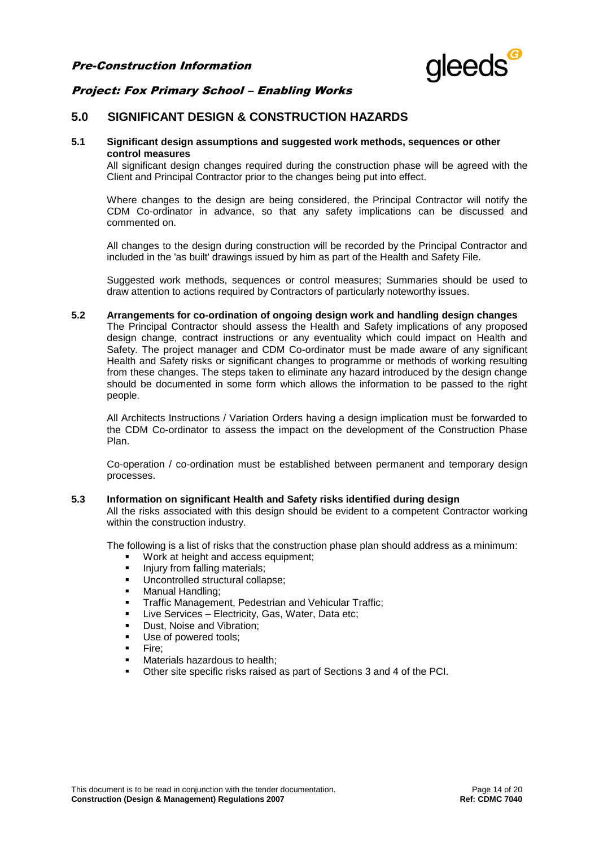

## Project: Fox Primary School – Enabling Works

## **5.0 SIGNIFICANT DESIGN & CONSTRUCTION HAZARDS**

#### **5.1 Significant design assumptions and suggested work methods, sequences or other control measures**

All significant design changes required during the construction phase will be agreed with the Client and Principal Contractor prior to the changes being put into effect.

Where changes to the design are being considered, the Principal Contractor will notify the CDM Co-ordinator in advance, so that any safety implications can be discussed and commented on.

All changes to the design during construction will be recorded by the Principal Contractor and included in the 'as built' drawings issued by him as part of the Health and Safety File.

Suggested work methods, sequences or control measures; Summaries should be used to draw attention to actions required by Contractors of particularly noteworthy issues.

#### **5.2 Arrangements for co-ordination of ongoing design work and handling design changes**

The Principal Contractor should assess the Health and Safety implications of any proposed design change, contract instructions or any eventuality which could impact on Health and Safety. The project manager and CDM Co-ordinator must be made aware of any significant Health and Safety risks or significant changes to programme or methods of working resulting from these changes. The steps taken to eliminate any hazard introduced by the design change should be documented in some form which allows the information to be passed to the right people.

All Architects Instructions / Variation Orders having a design implication must be forwarded to the CDM Co-ordinator to assess the impact on the development of the Construction Phase Plan.

Co-operation / co-ordination must be established between permanent and temporary design processes.

#### **5.3 Information on significant Health and Safety risks identified during design**

All the risks associated with this design should be evident to a competent Contractor working within the construction industry.

The following is a list of risks that the construction phase plan should address as a minimum:

- **Work at height and access equipment;**<br> **u** lniury from falling materials:
- Injury from falling materials;<br>Incontrolled structural colla
- Uncontrolled structural collapse;
- Manual Handling;
- Traffic Management, Pedestrian and Vehicular Traffic;
- Live Services Electricity, Gas, Water, Data etc;
- Dust, Noise and Vibration;
- Use of powered tools;
- Fire;
- Materials hazardous to health;
- Other site specific risks raised as part of Sections 3 and 4 of the PCI.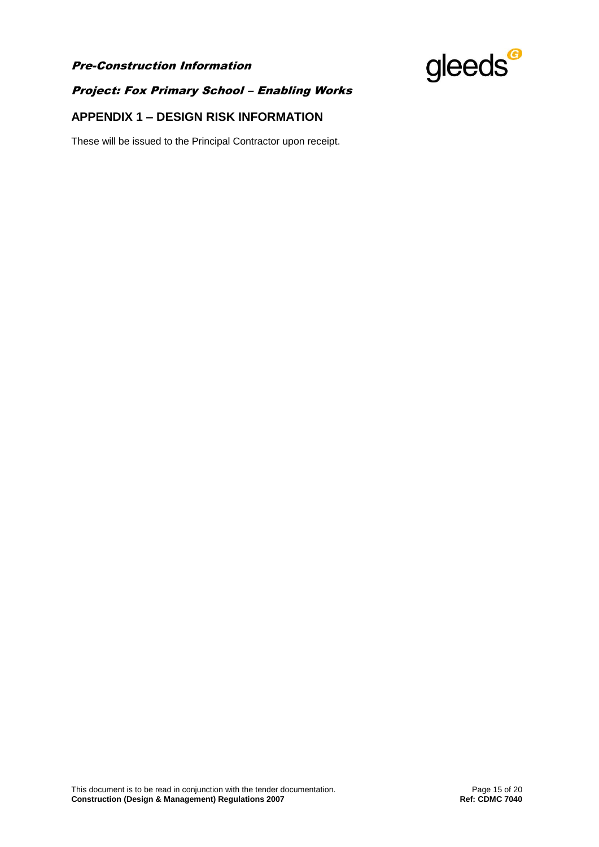

## Project: Fox Primary School – Enabling Works

## **APPENDIX 1 – DESIGN RISK INFORMATION**

These will be issued to the Principal Contractor upon receipt.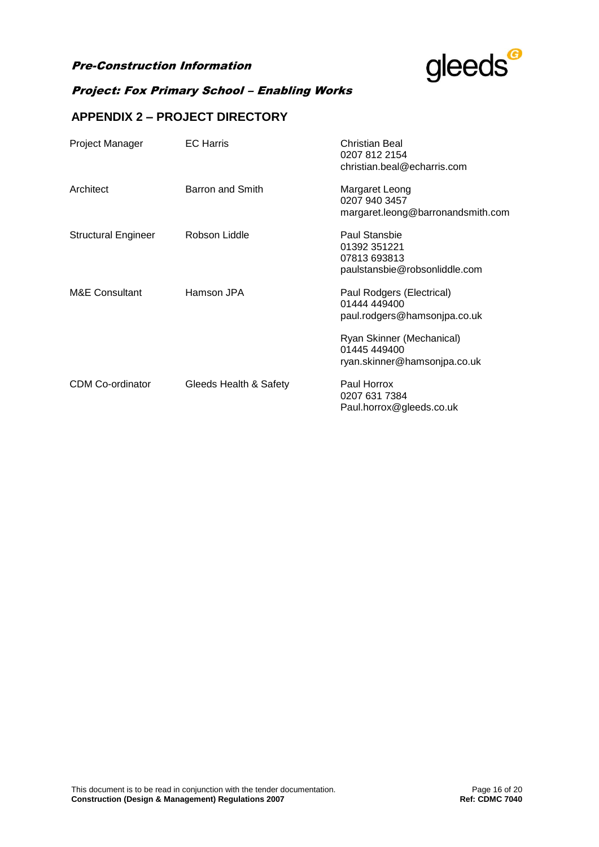

## Project: Fox Primary School – Enabling Works

## **APPENDIX 2 – PROJECT DIRECTORY**

| Project Manager            | <b>EC</b> Harris       | Christian Beal<br>0207 812 2154<br>christian.beal@echarris.com                 |
|----------------------------|------------------------|--------------------------------------------------------------------------------|
| Architect                  | Barron and Smith       | Margaret Leong<br>0207 940 3457<br>margaret.leong@barronandsmith.com           |
| <b>Structural Engineer</b> | Robson Liddle          | Paul Stansbie<br>01392 351221<br>07813 693813<br>paulstansbie@robsonliddle.com |
| M&E Consultant             | Hamson JPA             | Paul Rodgers (Electrical)<br>01444 449400<br>paul.rodgers@hamsonjpa.co.uk      |
|                            |                        | Ryan Skinner (Mechanical)<br>01445 449400<br>ryan.skinner@hamsonjpa.co.uk      |
| <b>CDM Co-ordinator</b>    | Gleeds Health & Safety | Paul Horrox<br>0207 631 7384<br>Paul.horrox@gleeds.co.uk                       |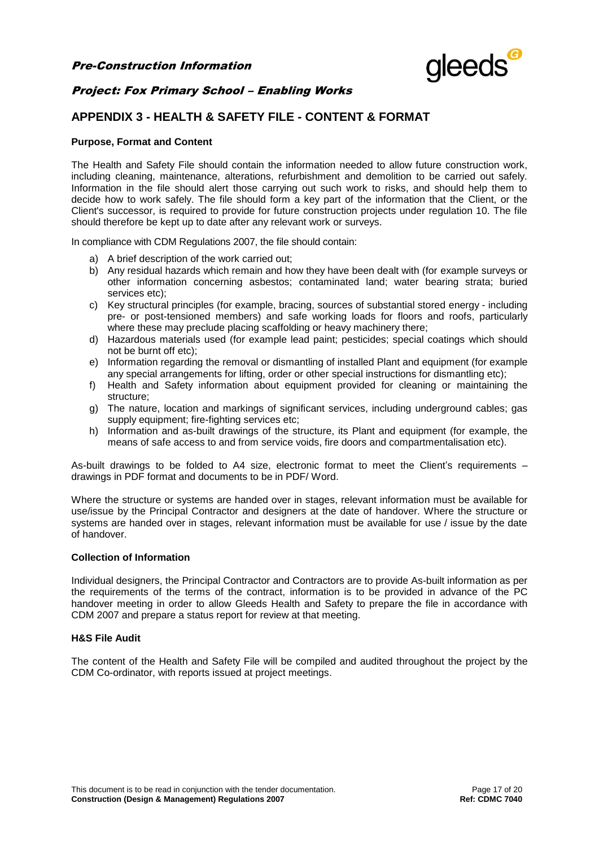

## **APPENDIX 3 - HEALTH & SAFETY FILE - CONTENT & FORMAT**

#### **Purpose, Format and Content**

The Health and Safety File should contain the information needed to allow future construction work, including cleaning, maintenance, alterations, refurbishment and demolition to be carried out safely. Information in the file should alert those carrying out such work to risks, and should help them to decide how to work safely. The file should form a key part of the information that the Client, or the Client's successor, is required to provide for future construction projects under regulation 10. The file should therefore be kept up to date after any relevant work or surveys.

In compliance with CDM Regulations 2007, the file should contain:

- a) A brief description of the work carried out;
- b) Any residual hazards which remain and how they have been dealt with (for example surveys or other information concerning asbestos; contaminated land; water bearing strata; buried services etc);
- c) Key structural principles (for example, bracing, sources of substantial stored energy including pre- or post-tensioned members) and safe working loads for floors and roofs, particularly where these may preclude placing scaffolding or heavy machinery there;
- d) Hazardous materials used (for example lead paint; pesticides; special coatings which should not be burnt off etc);
- e) Information regarding the removal or dismantling of installed Plant and equipment (for example any special arrangements for lifting, order or other special instructions for dismantling etc);
- f) Health and Safety information about equipment provided for cleaning or maintaining the structure;
- g) The nature, location and markings of significant services, including underground cables; gas supply equipment; fire-fighting services etc;
- h) Information and as-built drawings of the structure, its Plant and equipment (for example, the means of safe access to and from service voids, fire doors and compartmentalisation etc).

As-built drawings to be folded to A4 size, electronic format to meet the Client's requirements – drawings in PDF format and documents to be in PDF/ Word.

Where the structure or systems are handed over in stages, relevant information must be available for use/issue by the Principal Contractor and designers at the date of handover. Where the structure or systems are handed over in stages, relevant information must be available for use / issue by the date of handover.

#### **Collection of Information**

Individual designers, the Principal Contractor and Contractors are to provide As-built information as per the requirements of the terms of the contract, information is to be provided in advance of the PC handover meeting in order to allow Gleeds Health and Safety to prepare the file in accordance with CDM 2007 and prepare a status report for review at that meeting.

#### **H&S File Audit**

The content of the Health and Safety File will be compiled and audited throughout the project by the CDM Co-ordinator, with reports issued at project meetings.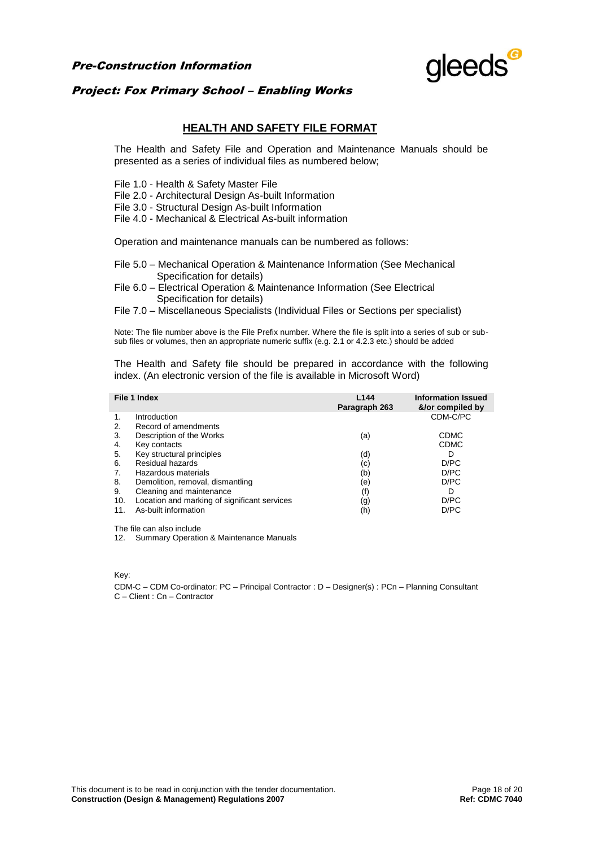

## Project: Fox Primary School – Enabling Works

## **HEALTH AND SAFETY FILE FORMAT**

The Health and Safety File and Operation and Maintenance Manuals should be presented as a series of individual files as numbered below;

File 1.0 - Health & Safety Master File

File 2.0 - Architectural Design As-built Information

File 3.0 - Structural Design As-built Information

File 4.0 - Mechanical & Electrical As-built information

Operation and maintenance manuals can be numbered as follows:

- File 5.0 Mechanical Operation & Maintenance Information (See Mechanical Specification for details)
- File 6.0 Electrical Operation & Maintenance Information (See Electrical Specification for details)
- File 7.0 Miscellaneous Specialists (Individual Files or Sections per specialist)

Note: The file number above is the File Prefix number. Where the file is split into a series of sub or subsub files or volumes, then an appropriate numeric suffix (e.g. 2.1 or 4.2.3 etc.) should be added

The Health and Safety file should be prepared in accordance with the following index. (An electronic version of the file is available in Microsoft Word)

|     | File 1 Index                                 | L <sub>144</sub><br>Paragraph 263 | <b>Information Issued</b><br>&/or compiled by |
|-----|----------------------------------------------|-----------------------------------|-----------------------------------------------|
| 1.  | Introduction                                 |                                   | CDM-C/PC                                      |
| 2.  | Record of amendments                         |                                   |                                               |
| 3.  | Description of the Works                     | (a)                               | <b>CDMC</b>                                   |
| 4.  | Key contacts                                 |                                   | <b>CDMC</b>                                   |
| 5.  | Key structural principles                    | (d)                               | D                                             |
| 6.  | Residual hazards                             | (c)                               | D/PC                                          |
| 7.  | Hazardous materials                          | (b)                               | D/PC                                          |
| 8.  | Demolition, removal, dismantling             | (e)                               | D/PC                                          |
| 9.  | Cleaning and maintenance                     | (f)                               | D                                             |
| 10. | Location and marking of significant services | (g)                               | D/PC                                          |
| 11  | As-built information                         | (h)                               | D/PC                                          |

The file can also include

12. Summary Operation & Maintenance Manuals

Key:

CDM-C – CDM Co-ordinator: PC – Principal Contractor : D – Designer(s) : PCn – Planning Consultant C – Client : Cn – Contractor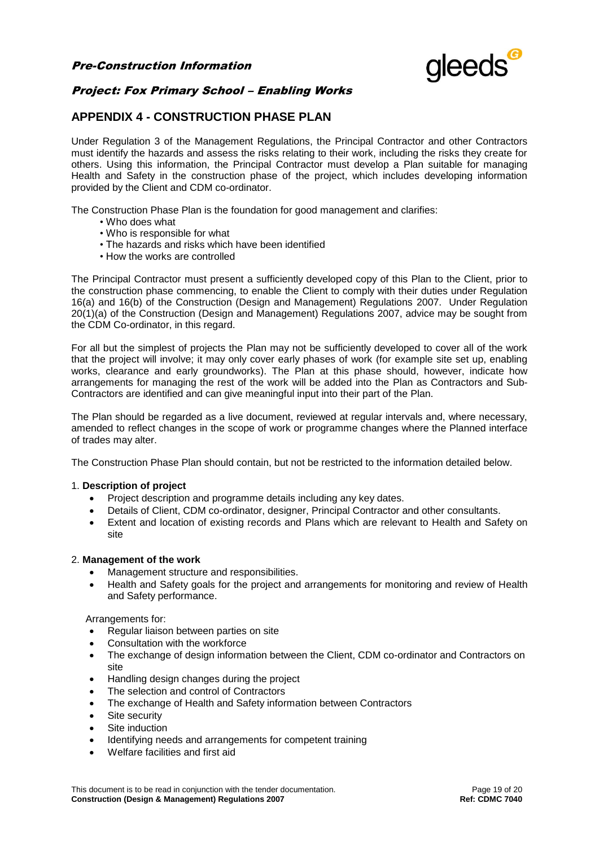

## **APPENDIX 4 - CONSTRUCTION PHASE PLAN**

Under Regulation 3 of the Management Regulations, the Principal Contractor and other Contractors must identify the hazards and assess the risks relating to their work, including the risks they create for others. Using this information, the Principal Contractor must develop a Plan suitable for managing Health and Safety in the construction phase of the project, which includes developing information provided by the Client and CDM co-ordinator.

The Construction Phase Plan is the foundation for good management and clarifies:

- Who does what
- Who is responsible for what
- The hazards and risks which have been identified
- How the works are controlled

The Principal Contractor must present a sufficiently developed copy of this Plan to the Client, prior to the construction phase commencing, to enable the Client to comply with their duties under Regulation 16(a) and 16(b) of the Construction (Design and Management) Regulations 2007. Under Regulation 20(1)(a) of the Construction (Design and Management) Regulations 2007, advice may be sought from the CDM Co-ordinator, in this regard.

For all but the simplest of projects the Plan may not be sufficiently developed to cover all of the work that the project will involve; it may only cover early phases of work (for example site set up, enabling works, clearance and early groundworks). The Plan at this phase should, however, indicate how arrangements for managing the rest of the work will be added into the Plan as Contractors and Sub-Contractors are identified and can give meaningful input into their part of the Plan.

The Plan should be regarded as a live document, reviewed at regular intervals and, where necessary, amended to reflect changes in the scope of work or programme changes where the Planned interface of trades may alter.

The Construction Phase Plan should contain, but not be restricted to the information detailed below.

#### 1. **Description of project**

- Project description and programme details including any key dates.
- Details of Client, CDM co-ordinator, designer, Principal Contractor and other consultants.
- Extent and location of existing records and Plans which are relevant to Health and Safety on site

#### 2. **Management of the work**

- Management structure and responsibilities.
- Health and Safety goals for the project and arrangements for monitoring and review of Health and Safety performance.

Arrangements for:

- Regular liaison between parties on site
- Consultation with the workforce
- The exchange of design information between the Client, CDM co-ordinator and Contractors on site
- Handling design changes during the project
- The selection and control of Contractors
- The exchange of Health and Safety information between Contractors
- Site security
- Site induction
- Identifying needs and arrangements for competent training
- Welfare facilities and first aid